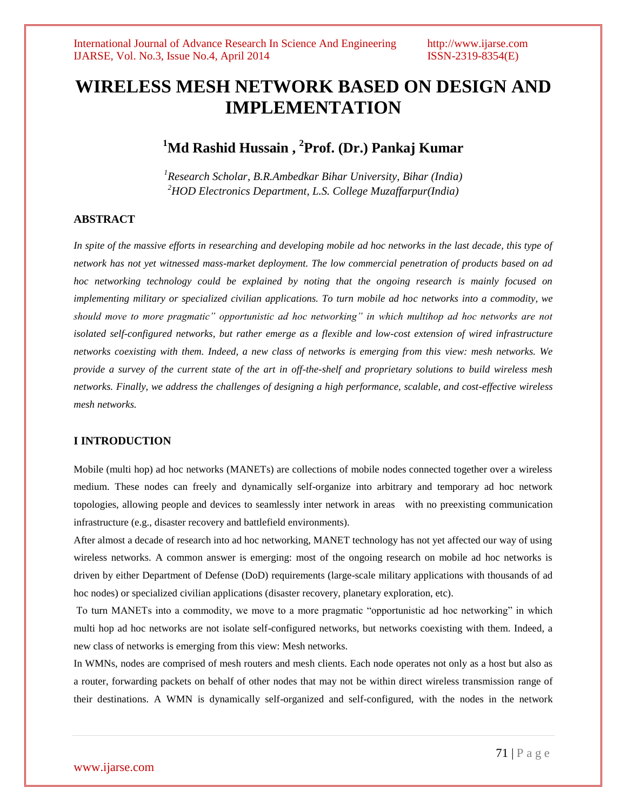# **WIRELESS MESH NETWORK BASED ON DESIGN AND IMPLEMENTATION**

# **<sup>1</sup>Md Rashid Hussain , 2 Prof. (Dr.) Pankaj Kumar**

*<sup>1</sup>Research Scholar, B.R.Ambedkar Bihar University, Bihar (India) <sup>2</sup>HOD Electronics Department, L.S. College Muzaffarpur(India)*

## **ABSTRACT**

In spite of the massive efforts in researching and developing mobile ad hoc networks in the last decade, this type of *network has not yet witnessed mass-market deployment. The low commercial penetration of products based on ad hoc networking technology could be explained by noting that the ongoing research is mainly focused on implementing military or specialized civilian applications. To turn mobile ad hoc networks into a commodity, we should move to more pragmatic" opportunistic ad hoc networking" in which multihop ad hoc networks are not*  isolated self-configured networks, but rather emerge as a flexible and low-cost extension of wired infrastructure *networks coexisting with them. Indeed, a new class of networks is emerging from this view: mesh networks. We provide a survey of the current state of the art in off-the-shelf and proprietary solutions to build wireless mesh networks. Finally, we address the challenges of designing a high performance, scalable, and cost-effective wireless mesh networks.*

#### **I INTRODUCTION**

Mobile (multi hop) ad hoc networks (MANETs) are collections of mobile nodes connected together over a wireless medium. These nodes can freely and dynamically self-organize into arbitrary and temporary ad hoc network topologies, allowing people and devices to seamlessly inter network in areas with no preexisting communication infrastructure (e.g., disaster recovery and battlefield environments).

After almost a decade of research into ad hoc networking, MANET technology has not yet affected our way of using wireless networks. A common answer is emerging: most of the ongoing research on mobile ad hoc networks is driven by either Department of Defense (DoD) requirements (large-scale military applications with thousands of ad hoc nodes) or specialized civilian applications (disaster recovery, planetary exploration, etc).

To turn MANETs into a commodity, we move to a more pragmatic "opportunistic ad hoc networking" in which multi hop ad hoc networks are not isolate self-configured networks, but networks coexisting with them. Indeed, a new class of networks is emerging from this view: Mesh networks.

In WMNs, nodes are comprised of mesh routers and mesh clients. Each node operates not only as a host but also as a router, forwarding packets on behalf of other nodes that may not be within direct wireless transmission range of their destinations. A WMN is dynamically self-organized and self-configured, with the nodes in the network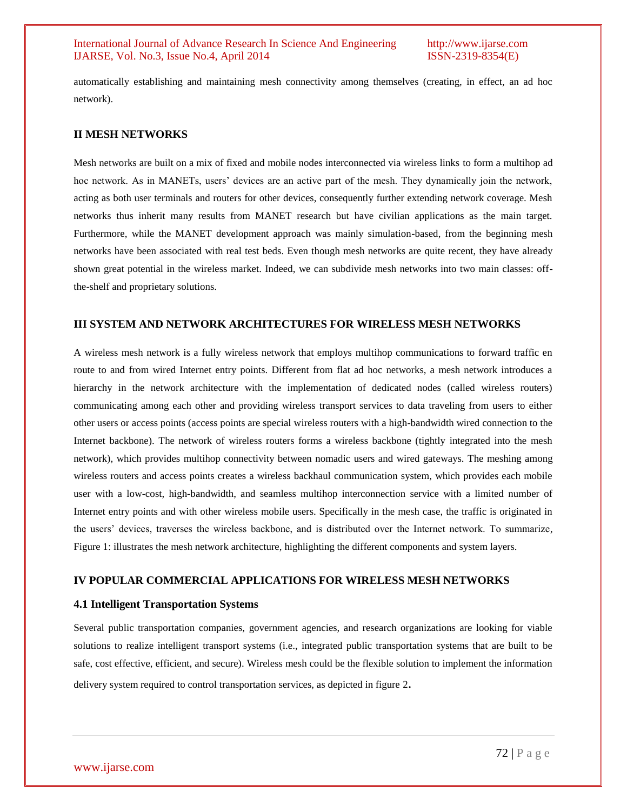automatically establishing and maintaining mesh connectivity among themselves (creating, in effect, an ad hoc network).

#### **II MESH NETWORKS**

Mesh networks are built on a mix of fixed and mobile nodes interconnected via wireless links to form a multihop ad hoc network. As in MANETs, users' devices are an active part of the mesh. They dynamically join the network, acting as both user terminals and routers for other devices, consequently further extending network coverage. Mesh networks thus inherit many results from MANET research but have civilian applications as the main target. Furthermore, while the MANET development approach was mainly simulation-based, from the beginning mesh networks have been associated with real test beds. Even though mesh networks are quite recent, they have already shown great potential in the wireless market. Indeed, we can subdivide mesh networks into two main classes: offthe-shelf and proprietary solutions.

#### **III SYSTEM AND NETWORK ARCHITECTURES FOR WIRELESS MESH NETWORKS**

A wireless mesh network is a fully wireless network that employs multihop communications to forward traffic en route to and from wired Internet entry points. Different from flat ad hoc networks, a mesh network introduces a hierarchy in the network architecture with the implementation of dedicated nodes (called wireless routers) communicating among each other and providing wireless transport services to data traveling from users to either other users or access points (access points are special wireless routers with a high-bandwidth wired connection to the Internet backbone). The network of wireless routers forms a wireless backbone (tightly integrated into the mesh network), which provides multihop connectivity between nomadic users and wired gateways. The meshing among wireless routers and access points creates a wireless backhaul communication system, which provides each mobile user with a low-cost, high-bandwidth, and seamless multihop interconnection service with a limited number of Internet entry points and with other wireless mobile users. Specifically in the mesh case, the traffic is originated in the users' devices, traverses the wireless backbone, and is distributed over the Internet network. To summarize, Figure 1: illustrates the mesh network architecture, highlighting the different components and system layers.

## **IV POPULAR COMMERCIAL APPLICATIONS FOR WIRELESS MESH NETWORKS**

#### **4.1 Intelligent Transportation Systems**

Several public transportation companies, government agencies, and research organizations are looking for viable solutions to realize intelligent transport systems (i.e., integrated public transportation systems that are built to be safe, cost effective, efficient, and secure). Wireless mesh could be the flexible solution to implement the information delivery system required to control transportation services, as depicted in figure 2.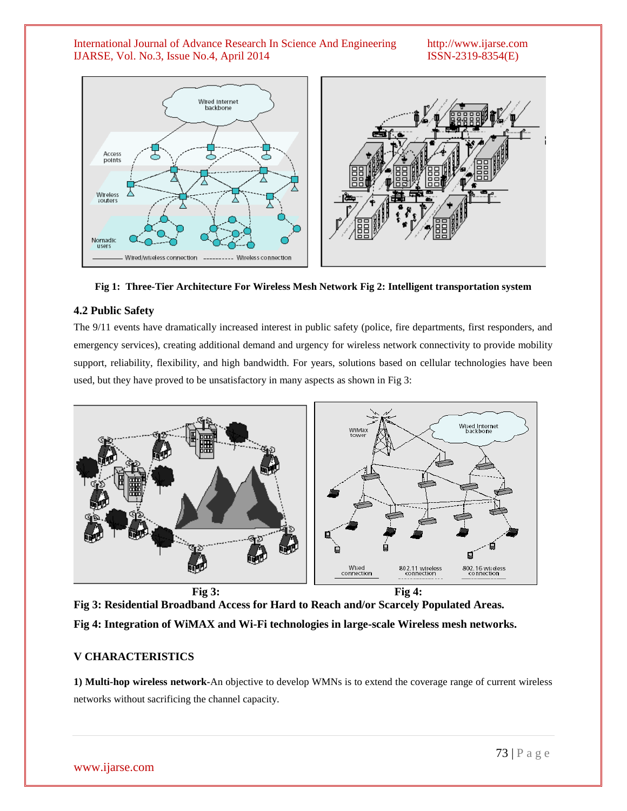#### International Journal of Advance Research In Science And Engineering http://www.ijarse.com IJARSE, Vol. No.3, Issue No.4, April 2014 ISSN-2319-8354(E)



**Fig 1: Three-Tier Architecture For Wireless Mesh Network Fig 2: Intelligent transportation system**

# **4.2 Public Safety**

The 9/11 events have dramatically increased interest in public safety (police, fire departments, first responders, and emergency services), creating additional demand and urgency for wireless network connectivity to provide mobility support, reliability, flexibility, and high bandwidth. For years, solutions based on cellular technologies have been used, but they have proved to be unsatisfactory in many aspects as shown in Fig 3:



**Fig 3: Residential Broadband Access for Hard to Reach and/or Scarcely Populated Areas. Fig 4: Integration of WiMAX and Wi-Fi technologies in large-scale Wireless mesh networks.**

## **V CHARACTERISTICS**

**1) Multi-hop wireless network-**An objective to develop WMNs is to extend the coverage range of current wireless networks without sacrificing the channel capacity.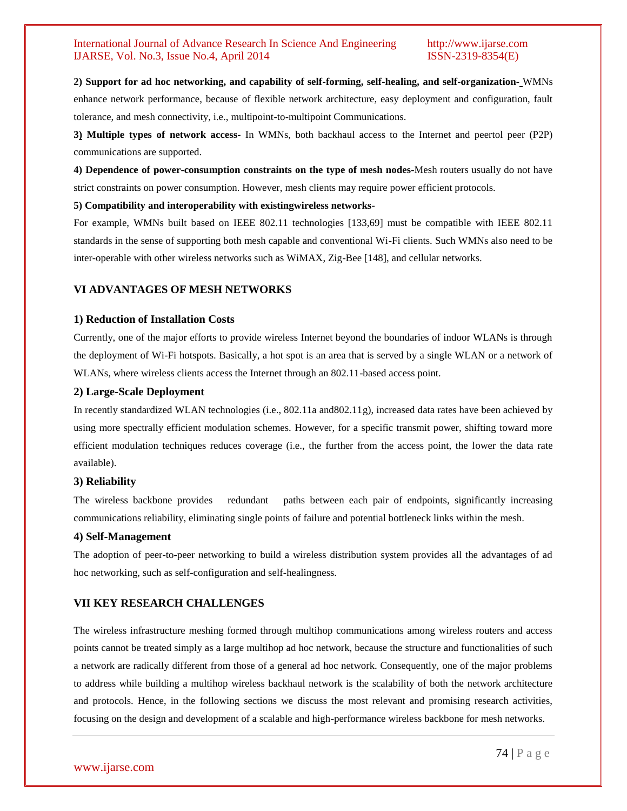## International Journal of Advance Research In Science And Engineering http://www.ijarse.com IJARSE, Vol. No.3, Issue No.4, April 2014 ISSN-2319-8354(E)

#### **2) Support for ad hoc networking, and capability of self-forming, self-healing, and self-organization-** WMNs

enhance network performance, because of flexible network architecture, easy deployment and configuration, fault tolerance, and mesh connectivity, i.e., multipoint-to-multipoint Communications.

**3) Multiple types of network access-** In WMNs, both backhaul access to the Internet and peertol peer (P2P) communications are supported.

**4) Dependence of power-consumption constraints on the type of mesh nodes-**Mesh routers usually do not have strict constraints on power consumption. However, mesh clients may require power efficient protocols.

#### **5) Compatibility and interoperability with existingwireless networks-**

For example, WMNs built based on IEEE 802.11 technologies [133,69] must be compatible with IEEE 802.11 standards in the sense of supporting both mesh capable and conventional Wi-Fi clients. Such WMNs also need to be inter-operable with other wireless networks such as WiMAX, Zig-Bee [148], and cellular networks.

# **VI ADVANTAGES OF MESH NETWORKS**

## **1) Reduction of Installation Costs**

Currently, one of the major efforts to provide wireless Internet beyond the boundaries of indoor WLANs is through the deployment of Wi-Fi hotspots. Basically, a hot spot is an area that is served by a single WLAN or a network of WLANs, where wireless clients access the Internet through an 802.11-based access point.

## **2) Large-Scale Deployment**

In recently standardized WLAN technologies (i.e., 802.11a and802.11g), increased data rates have been achieved by using more spectrally efficient modulation schemes. However, for a specific transmit power, shifting toward more efficient modulation techniques reduces coverage (i.e., the further from the access point, the lower the data rate available).

## **3) Reliability**

The wireless backbone provides redundant paths between each pair of endpoints, significantly increasing communications reliability, eliminating single points of failure and potential bottleneck links within the mesh.

#### **4) Self-Management**

The adoption of peer-to-peer networking to build a wireless distribution system provides all the advantages of ad hoc networking, such as self-configuration and self-healingness.

# **VII KEY RESEARCH CHALLENGES**

The wireless infrastructure meshing formed through multihop communications among wireless routers and access points cannot be treated simply as a large multihop ad hoc network, because the structure and functionalities of such a network are radically different from those of a general ad hoc network. Consequently, one of the major problems to address while building a multihop wireless backhaul network is the scalability of both the network architecture and protocols. Hence, in the following sections we discuss the most relevant and promising research activities, focusing on the design and development of a scalable and high-performance wireless backbone for mesh networks.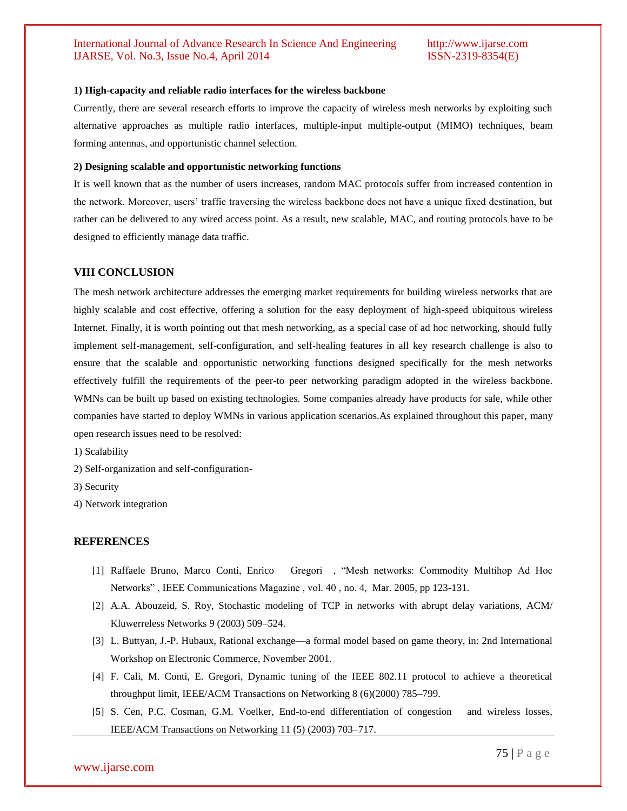#### **1) High-capacity and reliable radio interfaces for the wireless backbone**

Currently, there are several research efforts to improve the capacity of wireless mesh networks by exploiting such alternative approaches as multiple radio interfaces, multiple-input multiple-output (MIMO) techniques, beam forming antennas, and opportunistic channel selection.

#### **2) Designing scalable and opportunistic networking functions**

It is well known that as the number of users increases, random MAC protocols suffer from increased contention in the network. Moreover, users' traffic traversing the wireless backbone does not have a unique fixed destination, but rather can be delivered to any wired access point. As a result, new scalable, MAC, and routing protocols have to be designed to efficiently manage data traffic.

#### **VIII CONCLUSION**

The mesh network architecture addresses the emerging market requirements for building wireless networks that are highly scalable and cost effective, offering a solution for the easy deployment of high-speed ubiquitous wireless Internet. Finally, it is worth pointing out that mesh networking, as a special case of ad hoc networking, should fully implement self-management, self-configuration, and self-healing features in all key research challenge is also to ensure that the scalable and opportunistic networking functions designed specifically for the mesh networks effectively fulfill the requirements of the peer-to peer networking paradigm adopted in the wireless backbone. WMNs can be built up based on existing technologies. Some companies already have products for sale, while other companies have started to deploy WMNs in various application scenarios.As explained throughout this paper, many open research issues need to be resolved:

1) Scalability

2) Self-organization and self-configuration-

3) Security

4) Network integration

#### **REFERENCES**

- [1] Raffaele Bruno, Marco Conti, Enrico Gregori , "Mesh networks: Commodity Multihop Ad Hoc Networks‖ , IEEE Communications Magazine , vol. 40 , no. 4, Mar. 2005, pp 123-131.
- [2] A.A. Abouzeid, S. Roy, Stochastic modeling of TCP in networks with abrupt delay variations, ACM/ Kluwerreless Networks 9 (2003) 509–524.
- [3] L. Buttyan, J.-P. Hubaux, Rational exchange—a formal model based on game theory, in: 2nd International Workshop on Electronic Commerce, November 2001.
- [4] F. Cali, M. Conti, E. Gregori, Dynamic tuning of the IEEE 802.11 protocol to achieve a theoretical throughput limit, IEEE/ACM Transactions on Networking 8 (6)(2000) 785–799.
- [5] S. Cen, P.C. Cosman, G.M. Voelker, End-to-end differentiation of congestion and wireless losses, IEEE/ACM Transactions on Networking 11 (5) (2003) 703–717.